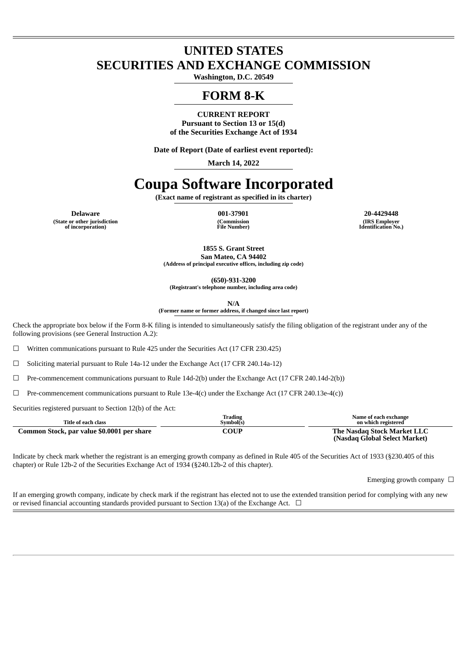# **UNITED STATES SECURITIES AND EXCHANGE COMMISSION**

**Washington, D.C. 20549**

# **FORM 8-K**

**CURRENT REPORT**

**Pursuant to Section 13 or 15(d) of the Securities Exchange Act of 1934**

**Date of Report (Date of earliest event reported):**

**March 14, 2022**

# **Coupa Software Incorporated**

**(Exact name of registrant as specified in its charter)**

**(State or other jurisdiction of incorporation)**

**(Commission File Number)**

**Delaware 001-37901 20-4429448 (IRS Employer Identification No.)**

> **1855 S. Grant Street San Mateo, CA 94402**

**(Address of principal executive offices, including zip code)**

**(650)-931-3200**

**(Registrant's telephone number, including area code)**

**N/A**

**(Former name or former address, if changed since last report)**

Check the appropriate box below if the Form 8-K filing is intended to simultaneously satisfy the filing obligation of the registrant under any of the following provisions (see General Instruction A.2):

☐ Written communications pursuant to Rule 425 under the Securities Act (17 CFR 230.425)

☐ Soliciting material pursuant to Rule 14a-12 under the Exchange Act (17 CFR 240.14a-12)

 $\Box$  Pre-commencement communications pursuant to Rule 14d-2(b) under the Exchange Act (17 CFR 240.14d-2(b))

 $\Box$  Pre-commencement communications pursuant to Rule 13e-4(c) under the Exchange Act (17 CFR 240.13e-4(c))

Securities registered pursuant to Section 12(b) of the Act:

| Title of each class                        | Trading<br>Symbol(s) | Name of each exchange<br>on which registered                 |
|--------------------------------------------|----------------------|--------------------------------------------------------------|
| Common Stock, par value \$0.0001 per share | <b>COUP</b>          | The Nasdag Stock Market LLC<br>(Nasdaq Global Select Market) |

Indicate by check mark whether the registrant is an emerging growth company as defined in Rule 405 of the Securities Act of 1933 (§230.405 of this chapter) or Rule 12b-2 of the Securities Exchange Act of 1934 (§240.12b-2 of this chapter).

Emerging growth company  $\Box$ 

If an emerging growth company, indicate by check mark if the registrant has elected not to use the extended transition period for complying with any new or revised financial accounting standards provided pursuant to Section 13(a) of the Exchange Act.  $\Box$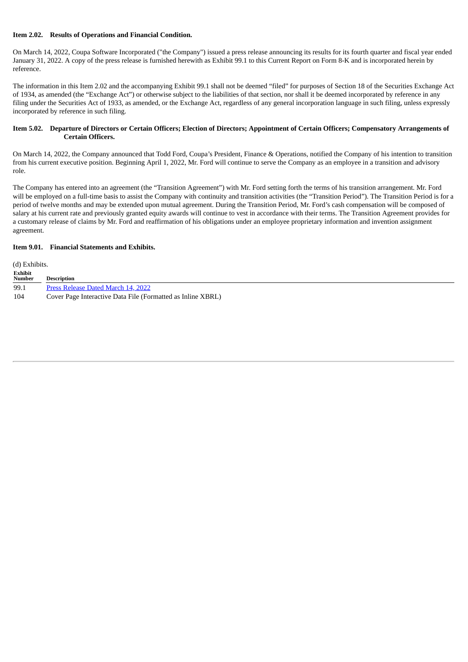#### **Item 2.02. Results of Operations and Financial Condition.**

On March 14, 2022, Coupa Software Incorporated ("the Company") issued a press release announcing its results for its fourth quarter and fiscal year ended January 31, 2022. A copy of the press release is furnished herewith as Exhibit 99.1 to this Current Report on Form 8-K and is incorporated herein by reference.

The information in this Item 2.02 and the accompanying Exhibit 99.1 shall not be deemed "filed" for purposes of Section 18 of the Securities Exchange Act of 1934, as amended (the "Exchange Act") or otherwise subject to the liabilities of that section, nor shall it be deemed incorporated by reference in any filing under the Securities Act of 1933, as amended, or the Exchange Act, regardless of any general incorporation language in such filing, unless expressly incorporated by reference in such filing.

#### Item 5.02. Departure of Directors or Certain Officers; Election of Directors; Appointment of Certain Officers; Compensatory Arrangements of **Certain Officers.**

On March 14, 2022, the Company announced that Todd Ford, Coupa's President, Finance & Operations, notified the Company of his intention to transition from his current executive position. Beginning April 1, 2022, Mr. Ford will continue to serve the Company as an employee in a transition and advisory role.

The Company has entered into an agreement (the "Transition Agreement") with Mr. Ford setting forth the terms of his transition arrangement. Mr. Ford will be employed on a full-time basis to assist the Company with continuity and transition activities (the "Transition Period"). The Transition Period is for a period of twelve months and may be extended upon mutual agreement. During the Transition Period, Mr. Ford's cash compensation will be composed of salary at his current rate and previously granted equity awards will continue to vest in accordance with their terms. The Transition Agreement provides for a customary release of claims by Mr. Ford and reaffirmation of his obligations under an employee proprietary information and invention assignment agreement.

#### **Item 9.01. Financial Statements and Exhibits.**

(d) Exhibits.

| Exhibit<br>Number | <b>Description</b>                                          |
|-------------------|-------------------------------------------------------------|
| 99.1              | Press Release Dated March 14, 2022                          |
| 104               | Cover Page Interactive Data File (Formatted as Inline XBRL) |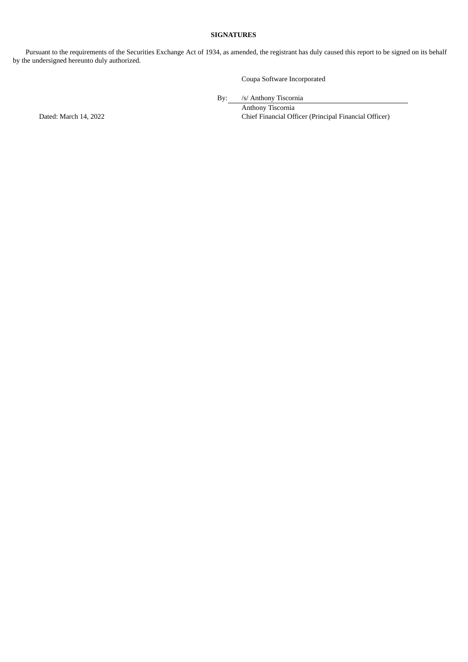### **SIGNATURES**

Pursuant to the requirements of the Securities Exchange Act of 1934, as amended, the registrant has duly caused this report to be signed on its behalf by the undersigned hereunto duly authorized.

Coupa Software Incorporated

By: /s/ Anthony Tiscornia

Anthony Tiscornia Dated: March 14, 2022 Chief Financial Officer (Principal Financial Officer)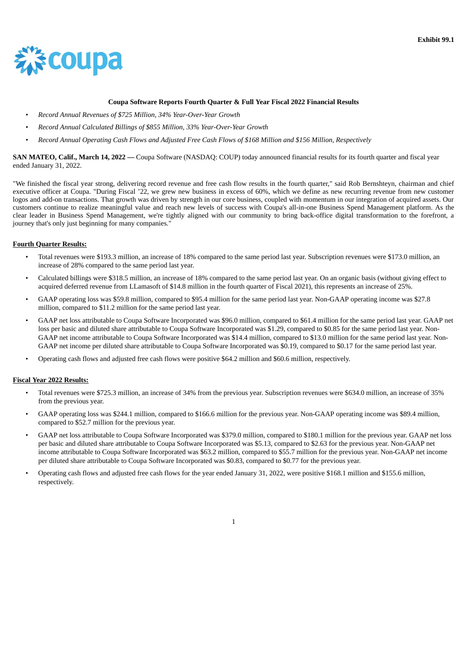<span id="page-3-0"></span>

#### **Coupa Software Reports Fourth Quarter & Full Year Fiscal 2022 Financial Results**

- *• Record Annual Revenues of \$725 Million, 34% Year-Over-Year Growth*
- *• Record Annual Calculated Billings of \$855 Million, 33% Year-Over-Year Growth*
- Record Annual Operating Cash Flows and Adjusted Free Cash Flows of \$168 Million and \$156 Million, Respectively

**SAN MATEO, Calif., March 14, 2022 —** Coupa Software (NASDAQ: COUP) today announced financial results for its fourth quarter and fiscal year ended January 31, 2022.

"We finished the fiscal year strong, delivering record revenue and free cash flow results in the fourth quarter," said Rob Bernshteyn, chairman and chief executive officer at Coupa. "During Fiscal '22, we grew new business in excess of 60%, which we define as new recurring revenue from new customer logos and add-on transactions. That growth was driven by strength in our core business, coupled with momentum in our integration of acquired assets. Our customers continue to realize meaningful value and reach new levels of success with Coupa's all-in-one Business Spend Management platform. As the clear leader in Business Spend Management, we're tightly aligned with our community to bring back-office digital transformation to the forefront, a journey that's only just beginning for many companies."

#### **Fourth Quarter Results:**

- Total revenues were \$193.3 million, an increase of 18% compared to the same period last year. Subscription revenues were \$173.0 million, an increase of 28% compared to the same period last year.
- Calculated billings were \$318.5 million, an increase of 18% compared to the same period last year. On an organic basis (without giving effect to acquired deferred revenue from LLamasoft of \$14.8 million in the fourth quarter of Fiscal 2021), this represents an increase of 25%.
- GAAP operating loss was \$59.8 million, compared to \$95.4 million for the same period last year. Non-GAAP operating income was \$27.8 million, compared to \$11.2 million for the same period last year.
- GAAP net loss attributable to Coupa Software Incorporated was \$96.0 million, compared to \$61.4 million for the same period last year. GAAP net loss per basic and diluted share attributable to Coupa Software Incorporated was \$1.29, compared to \$0.85 for the same period last year. Non-GAAP net income attributable to Coupa Software Incorporated was \$14.4 million, compared to \$13.0 million for the same period last year. Non-GAAP net income per diluted share attributable to Coupa Software Incorporated was \$0.19, compared to \$0.17 for the same period last year.
- Operating cash flows and adjusted free cash flows were positive \$64.2 million and \$60.6 million, respectively.

#### **Fiscal Year 2022 Results:**

- Total revenues were \$725.3 million, an increase of 34% from the previous year. Subscription revenues were \$634.0 million, an increase of 35% from the previous year.
- GAAP operating loss was \$244.1 million, compared to \$166.6 million for the previous year. Non-GAAP operating income was \$89.4 million, compared to \$52.7 million for the previous year.
- GAAP net loss attributable to Coupa Software Incorporated was \$379.0 million, compared to \$180.1 million for the previous year. GAAP net loss per basic and diluted share attributable to Coupa Software Incorporated was \$5.13, compared to \$2.63 for the previous year. Non-GAAP net income attributable to Coupa Software Incorporated was \$63.2 million, compared to \$55.7 million for the previous year. Non-GAAP net income per diluted share attributable to Coupa Software Incorporated was \$0.83, compared to \$0.77 for the previous year.
- Operating cash flows and adjusted free cash flows for the year ended January 31, 2022, were positive \$168.1 million and \$155.6 million, respectively.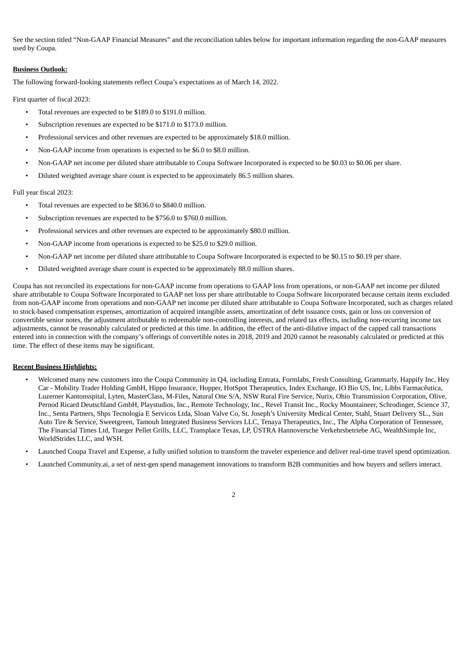See the section titled "Non-GAAP Financial Measures" and the reconciliation tables below for important information regarding the non-GAAP measures used by Coupa.

#### **Business Outlook:**

The following forward-looking statements reflect Coupa's expectations as of March 14, 2022.

First quarter of fiscal 2023:

- Total revenues are expected to be \$189.0 to \$191.0 million.
- Subscription revenues are expected to be \$171.0 to \$173.0 million.
- Professional services and other revenues are expected to be approximately \$18.0 million.
- Non-GAAP income from operations is expected to be \$6.0 to \$8.0 million.
- Non-GAAP net income per diluted share attributable to Coupa Software Incorporated is expected to be \$0.03 to \$0.06 per share.
- Diluted weighted average share count is expected to be approximately 86.5 million shares.

Full year fiscal 2023:

- Total revenues are expected to be \$836.0 to \$840.0 million.
- Subscription revenues are expected to be \$756.0 to \$760.0 million.
- Professional services and other revenues are expected to be approximately \$80.0 million.
- Non-GAAP income from operations is expected to be \$25.0 to \$29.0 million.
- Non-GAAP net income per diluted share attributable to Coupa Software Incorporated is expected to be \$0.15 to \$0.19 per share.
- Diluted weighted average share count is expected to be approximately 88.0 million shares.

Coupa has not reconciled its expectations for non-GAAP income from operations to GAAP loss from operations, or non-GAAP net income per diluted share attributable to Coupa Software Incorporated to GAAP net loss per share attributable to Coupa Software Incorporated because certain items excluded from non-GAAP income from operations and non-GAAP net income per diluted share attributable to Coupa Software Incorporated, such as charges related to stock-based compensation expenses, amortization of acquired intangible assets, amortization of debt issuance costs, gain or loss on conversion of convertible senior notes, the adjustment attributable to redeemable non-controlling interests, and related tax effects, including non-recurring income tax adjustments, cannot be reasonably calculated or predicted at this time. In addition, the effect of the anti-dilutive impact of the capped call transactions entered into in connection with the company's offerings of convertible notes in 2018, 2019 and 2020 cannot be reasonably calculated or predicted at this time. The effect of these items may be significant.

#### **Recent Business Highlights:**

- Welcomed many new customers into the Coupa Community in Q4, including Entrata, Formlabs, Fresh Consulting, Grammarly, Happify Inc, Hey Car - Mobility Trader Holding GmbH, Hippo Insurance, Hopper, HotSpot Therapeutics, Index Exchange, IO Bio US, Inc, Libbs Farmacêutica, Luzerner Kantonsspital, Lyten, MasterClass, M-Files, Natural One S/A, NSW Rural Fire Service, Nurix, Ohio Transmission Corporation, Olive, Pernod Ricard Deutschland GmbH, Playstudios, Inc., Remote Technology, Inc., Revel Transit Inc., Rocky Mountaineer, Schrodinger, Science 37, Inc., Senta Partners, Shps Tecnologia E Servicos Ltda, Sloan Valve Co, St. Joseph's University Medical Center, Stahl, Stuart Delivery SL., Sun Auto Tire & Service, Sweetgreen, Tamouh Integrated Business Services LLC, Tenaya Therapeutics, Inc., The Alpha Corporation of Tennessee, The Financial Times Ltd, Traeger Pellet Grills, LLC, Transplace Texas, LP, ÜSTRA Hannoversche Verkehrsbetriebe AG, WealthSimple Inc, WorldStrides LLC, and WSH.
- Launched Coupa Travel and Expense, a fully unified solution to transform the traveler experience and deliver real-time travel spend optimization.
- Launched Community.ai, a set of next-gen spend management innovations to transform B2B communities and how buyers and sellers interact.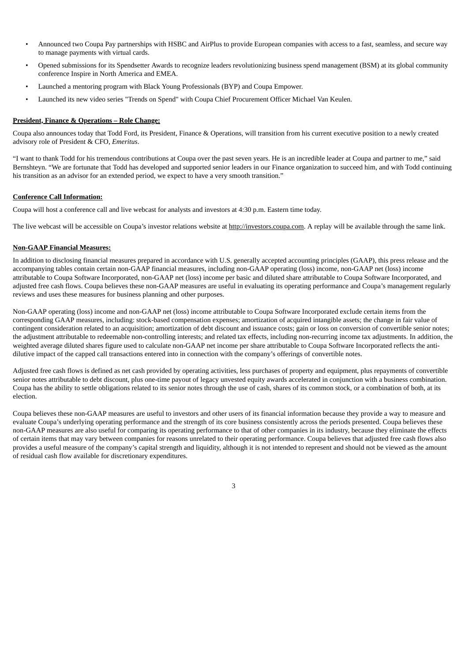- Announced two Coupa Pay partnerships with HSBC and AirPlus to provide European companies with access to a fast, seamless, and secure way to manage payments with virtual cards.
- Opened submissions for its Spendsetter Awards to recognize leaders revolutionizing business spend management (BSM) at its global community conference Inspire in North America and EMEA.
- Launched a mentoring program with Black Young Professionals (BYP) and Coupa Empower.
- Launched its new video series "Trends on Spend" with Coupa Chief Procurement Officer Michael Van Keulen.

#### **President, Finance & Operations – Role Change:**

Coupa also announces today that Todd Ford, its President, Finance & Operations, will transition from his current executive position to a newly created advisory role of President & CFO, *Emeritus*.

"I want to thank Todd for his tremendous contributions at Coupa over the past seven years. He is an incredible leader at Coupa and partner to me," said Bernshteyn. "We are fortunate that Todd has developed and supported senior leaders in our Finance organization to succeed him, and with Todd continuing his transition as an advisor for an extended period, we expect to have a very smooth transition."

#### **Conference Call Information:**

Coupa will host a conference call and live webcast for analysts and investors at 4:30 p.m. Eastern time today.

The live webcast will be accessible on Coupa's investor relations website at http://investors.coupa.com. A replay will be available through the same link.

#### **Non-GAAP Financial Measures:**

In addition to disclosing financial measures prepared in accordance with U.S. generally accepted accounting principles (GAAP), this press release and the accompanying tables contain certain non-GAAP financial measures, including non-GAAP operating (loss) income, non-GAAP net (loss) income attributable to Coupa Software Incorporated, non-GAAP net (loss) income per basic and diluted share attributable to Coupa Software Incorporated, and adjusted free cash flows. Coupa believes these non-GAAP measures are useful in evaluating its operating performance and Coupa's management regularly reviews and uses these measures for business planning and other purposes.

Non-GAAP operating (loss) income and non-GAAP net (loss) income attributable to Coupa Software Incorporated exclude certain items from the corresponding GAAP measures, including: stock-based compensation expenses; amortization of acquired intangible assets; the change in fair value of contingent consideration related to an acquisition; amortization of debt discount and issuance costs; gain or loss on conversion of convertible senior notes; the adjustment attributable to redeemable non-controlling interests; and related tax effects, including non-recurring income tax adjustments. In addition, the weighted average diluted shares figure used to calculate non-GAAP net income per share attributable to Coupa Software Incorporated reflects the antidilutive impact of the capped call transactions entered into in connection with the company's offerings of convertible notes.

Adjusted free cash flows is defined as net cash provided by operating activities, less purchases of property and equipment, plus repayments of convertible senior notes attributable to debt discount, plus one-time payout of legacy unvested equity awards accelerated in conjunction with a business combination. Coupa has the ability to settle obligations related to its senior notes through the use of cash, shares of its common stock, or a combination of both, at its election.

Coupa believes these non-GAAP measures are useful to investors and other users of its financial information because they provide a way to measure and evaluate Coupa's underlying operating performance and the strength of its core business consistently across the periods presented. Coupa believes these non-GAAP measures are also useful for comparing its operating performance to that of other companies in its industry, because they eliminate the effects of certain items that may vary between companies for reasons unrelated to their operating performance. Coupa believes that adjusted free cash flows also provides a useful measure of the company's capital strength and liquidity, although it is not intended to represent and should not be viewed as the amount of residual cash flow available for discretionary expenditures.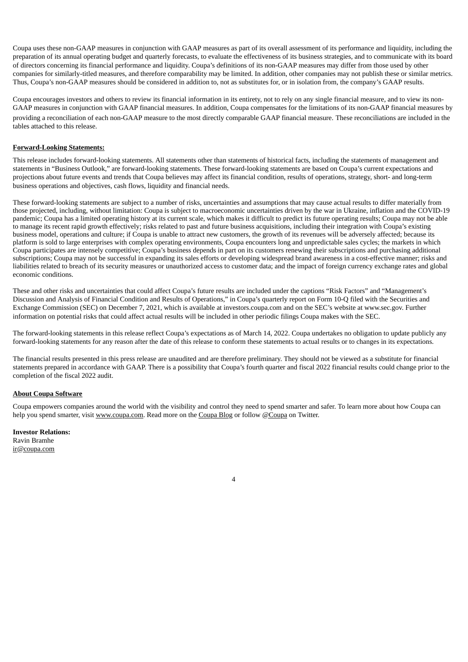Coupa uses these non-GAAP measures in conjunction with GAAP measures as part of its overall assessment of its performance and liquidity, including the preparation of its annual operating budget and quarterly forecasts, to evaluate the effectiveness of its business strategies, and to communicate with its board of directors concerning its financial performance and liquidity. Coupa's definitions of its non-GAAP measures may differ from those used by other companies for similarly-titled measures, and therefore comparability may be limited. In addition, other companies may not publish these or similar metrics. Thus, Coupa's non-GAAP measures should be considered in addition to, not as substitutes for, or in isolation from, the company's GAAP results.

Coupa encourages investors and others to review its financial information in its entirety, not to rely on any single financial measure, and to view its non-GAAP measures in conjunction with GAAP financial measures. In addition, Coupa compensates for the limitations of its non-GAAP financial measures by providing a reconciliation of each non-GAAP measure to the most directly comparable GAAP financial measure. These reconciliations are included in the tables attached to this release.

#### **Forward-Looking Statements:**

This release includes forward-looking statements. All statements other than statements of historical facts, including the statements of management and statements in "Business Outlook," are forward-looking statements. These forward-looking statements are based on Coupa's current expectations and projections about future events and trends that Coupa believes may affect its financial condition, results of operations, strategy, short- and long-term business operations and objectives, cash flows, liquidity and financial needs.

These forward-looking statements are subject to a number of risks, uncertainties and assumptions that may cause actual results to differ materially from those projected, including, without limitation: Coupa is subject to macroeconomic uncertainties driven by the war in Ukraine, inflation and the COVID-19 pandemic; Coupa has a limited operating history at its current scale, which makes it difficult to predict its future operating results; Coupa may not be able to manage its recent rapid growth effectively; risks related to past and future business acquisitions, including their integration with Coupa's existing business model, operations and culture; if Coupa is unable to attract new customers, the growth of its revenues will be adversely affected; because its platform is sold to large enterprises with complex operating environments, Coupa encounters long and unpredictable sales cycles; the markets in which Coupa participates are intensely competitive; Coupa's business depends in part on its customers renewing their subscriptions and purchasing additional subscriptions; Coupa may not be successful in expanding its sales efforts or developing widespread brand awareness in a cost-effective manner; risks and liabilities related to breach of its security measures or unauthorized access to customer data; and the impact of foreign currency exchange rates and global economic conditions.

These and other risks and uncertainties that could affect Coupa's future results are included under the captions "Risk Factors" and "Management's Discussion and Analysis of Financial Condition and Results of Operations," in Coupa's quarterly report on Form 10-Q filed with the Securities and Exchange Commission (SEC) on December 7, 2021, which is available at investors.coupa.com and on the SEC's website at www.sec.gov. Further information on potential risks that could affect actual results will be included in other periodic filings Coupa makes with the SEC.

The forward-looking statements in this release reflect Coupa's expectations as of March 14, 2022. Coupa undertakes no obligation to update publicly any forward-looking statements for any reason after the date of this release to conform these statements to actual results or to changes in its expectations.

The financial results presented in this press release are unaudited and are therefore preliminary. They should not be viewed as a substitute for financial statements prepared in accordance with GAAP. There is a possibility that Coupa's fourth quarter and fiscal 2022 financial results could change prior to the completion of the fiscal 2022 audit.

#### **About Coupa Software**

Coupa empowers companies around the world with the visibility and control they need to spend smarter and safer. To learn more about how Coupa can help you spend smarter, visit www.coupa.com. Read more on the Coupa Blog or follow @Coupa on Twitter.

#### **Investor Relations:**

Ravin Bramhe ir@coupa.com

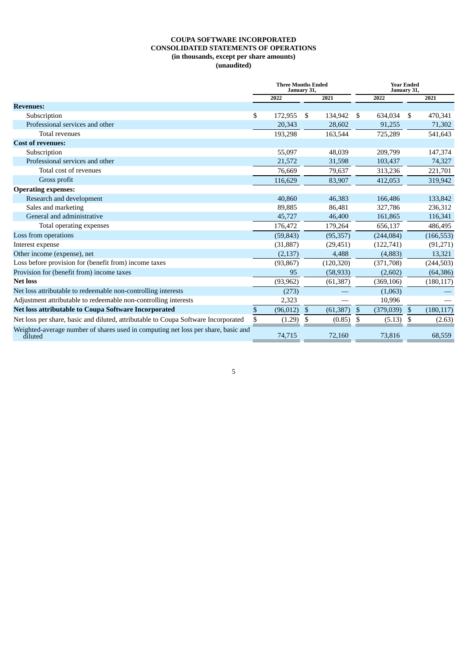## **COUPA SOFTWARE INCORPORATED CONSOLIDATED STATEMENTS OF OPERATIONS (in thousands, except per share amounts) (unaudited)**

|                                                                                              |    | <b>Three Months Ended</b><br>January 31, |                           |            |              | <b>Year Ended</b><br>January 31, |    |            |
|----------------------------------------------------------------------------------------------|----|------------------------------------------|---------------------------|------------|--------------|----------------------------------|----|------------|
|                                                                                              |    | 2022                                     | 2021                      |            |              | 2022                             |    | 2021       |
| <b>Revenues:</b>                                                                             |    |                                          |                           |            |              |                                  |    |            |
| Subscription                                                                                 | S  | 172,955                                  | S.                        | 134,942    | \$           | 634,034                          | \$ | 470,341    |
| Professional services and other                                                              |    | 20,343                                   |                           | 28,602     |              | 91,255                           |    | 71,302     |
| Total revenues                                                                               |    | 193,298                                  |                           | 163,544    |              | 725,289                          |    | 541,643    |
| <b>Cost of revenues:</b>                                                                     |    |                                          |                           |            |              |                                  |    |            |
| Subscription                                                                                 |    | 55,097                                   |                           | 48,039     |              | 209,799                          |    | 147,374    |
| Professional services and other                                                              |    | 21,572                                   |                           | 31,598     |              | 103,437                          |    | 74,327     |
| Total cost of revenues                                                                       |    | 76,669                                   |                           | 79,637     |              | 313,236                          |    | 221,701    |
| Gross profit                                                                                 |    | 116,629                                  |                           | 83,907     |              | 412,053                          |    | 319,942    |
| <b>Operating expenses:</b>                                                                   |    |                                          |                           |            |              |                                  |    |            |
| Research and development                                                                     |    | 40,860                                   |                           | 46,383     |              | 166,486                          |    | 133,842    |
| Sales and marketing                                                                          |    | 89.885                                   |                           | 86,481     |              | 327,786                          |    | 236,312    |
| General and administrative                                                                   |    | 45,727                                   |                           | 46,400     |              | 161,865                          |    | 116,341    |
| Total operating expenses                                                                     |    | 176,472                                  |                           | 179,264    |              | 656,137                          |    | 486,495    |
| Loss from operations                                                                         |    | (59, 843)                                |                           | (95, 357)  |              | (244, 084)                       |    | (166, 553) |
| Interest expense                                                                             |    | (31, 887)                                |                           | (29, 451)  |              | (122,741)                        |    | (91, 271)  |
| Other income (expense), net                                                                  |    | (2, 137)                                 |                           | 4,488      |              | (4,883)                          |    | 13,321     |
| Loss before provision for (benefit from) income taxes                                        |    | (93, 867)                                |                           | (120, 320) |              | (371,708)                        |    | (244, 503) |
| Provision for (benefit from) income taxes                                                    |    | 95                                       |                           | (58, 933)  |              | (2,602)                          |    | (64, 386)  |
| <b>Net loss</b>                                                                              |    | (93, 962)                                |                           | (61, 387)  |              | (369, 106)                       |    | (180, 117) |
| Net loss attributable to redeemable non-controlling interests                                |    | (273)                                    |                           |            |              | (1,063)                          |    |            |
| Adjustment attributable to redeemable non-controlling interests                              |    | 2,323                                    |                           |            |              | 10,996                           |    |            |
| Net loss attributable to Coupa Software Incorporated                                         | \$ | (96, 012)                                | $\boldsymbol{\mathsf{S}}$ | (61, 387)  | $\mathbb{S}$ | (379,039)                        | \$ | (180, 117) |
| Net loss per share, basic and diluted, attributable to Coupa Software Incorporated           | \$ | (1.29)                                   | -\$                       | (0.85)     | S            | (5.13)                           | \$ | (2.63)     |
| Weighted-average number of shares used in computing net loss per share, basic and<br>diluted |    | 74,715                                   |                           | 72,160     |              | 73,816                           |    | 68,559     |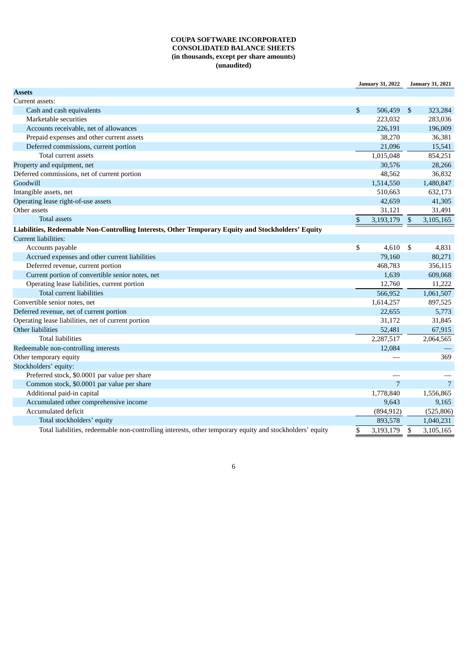# **COUPA SOFTWARE INCORPORATED CONSOLIDATED BALANCE SHEETS (in thousands, except per share amounts) (unaudited)**

|                                                                                                          | <b>January 31, 2022</b> |                | <b>January 31, 2021</b> |  |
|----------------------------------------------------------------------------------------------------------|-------------------------|----------------|-------------------------|--|
| Assets                                                                                                   |                         |                |                         |  |
| Current assets:                                                                                          |                         |                |                         |  |
| Cash and cash equivalents                                                                                | \$<br>506,459           | $\mathfrak{F}$ | 323,284                 |  |
| Marketable securities                                                                                    | 223,032                 |                | 283,036                 |  |
| Accounts receivable, net of allowances                                                                   | 226,191                 |                | 196,009                 |  |
| Prepaid expenses and other current assets                                                                | 38,270                  |                | 36,381                  |  |
| Deferred commissions, current portion                                                                    | 21,096                  |                | 15,541                  |  |
| Total current assets                                                                                     | 1,015,048               |                | 854,251                 |  |
| Property and equipment, net                                                                              | 30,576                  |                | 28,266                  |  |
| Deferred commissions, net of current portion                                                             | 48,562                  |                | 36,832                  |  |
| Goodwill                                                                                                 | 1,514,550               |                | 1,480,847               |  |
| Intangible assets, net                                                                                   | 510,663                 |                | 632,173                 |  |
| Operating lease right-of-use assets                                                                      | 42,659                  |                | 41,305                  |  |
| Other assets                                                                                             | 31,121                  |                | 31,491                  |  |
| <b>Total assets</b>                                                                                      | \$<br>3,193,179         | $\mathbb{S}$   | 3,105,165               |  |
| Liabilities, Redeemable Non-Controlling Interests, Other Temporary Equity and Stockholders' Equity       |                         |                |                         |  |
| Current liabilities:                                                                                     |                         |                |                         |  |
| Accounts payable                                                                                         | \$<br>4,610             | \$             | 4,831                   |  |
| Accrued expenses and other current liabilities                                                           | 79,160                  |                | 80,271                  |  |
| Deferred revenue, current portion                                                                        | 468,783                 |                | 356,115                 |  |
| Current portion of convertible senior notes, net                                                         | 1,639                   |                | 609,068                 |  |
| Operating lease liabilities, current portion                                                             | 12,760                  |                | 11,222                  |  |
| Total current liabilities                                                                                | 566,952                 |                | 1,061,507               |  |
| Convertible senior notes, net                                                                            | 1,614,257               |                | 897,525                 |  |
| Deferred revenue, net of current portion                                                                 | 22,655                  |                | 5,773                   |  |
| Operating lease liabilities, net of current portion                                                      | 31,172                  |                | 31,845                  |  |
| Other liabilities                                                                                        | 52,481                  |                | 67,915                  |  |
| <b>Total liabilities</b>                                                                                 | 2,287,517               |                | 2,064,565               |  |
| Redeemable non-controlling interests                                                                     | 12,084                  |                |                         |  |
| Other temporary equity                                                                                   |                         |                | 369                     |  |
| Stockholders' equity:                                                                                    |                         |                |                         |  |
| Preferred stock, \$0.0001 par value per share                                                            |                         |                |                         |  |
| Common stock, \$0.0001 par value per share                                                               | 7                       |                | 7                       |  |
| Additional paid-in capital                                                                               | 1,778,840               |                | 1,556,865               |  |
| Accumulated other comprehensive income                                                                   | 9,643                   |                | 9,165                   |  |
| Accumulated deficit                                                                                      | (894, 912)              |                | (525, 806)              |  |
| Total stockholders' equity                                                                               | 893,578                 |                | 1,040,231               |  |
| Total liabilities, redeemable non-controlling interests, other temporary equity and stockholders' equity | \$<br>3,193,179         | $\mathbb S$    | 3,105,165               |  |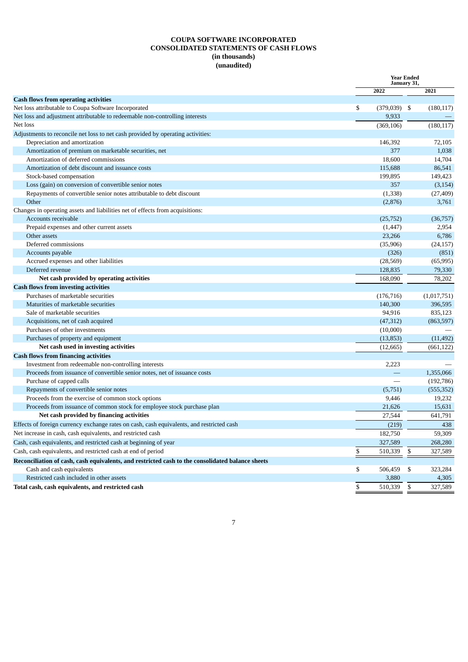# **COUPA SOFTWARE INCORPORATED CONSOLIDATED STATEMENTS OF CASH FLOWS (in thousands) (unaudited)**

| January 31,<br>2022<br>2021<br><b>Cash flows from operating activities</b>                         | (180, 117)  |
|----------------------------------------------------------------------------------------------------|-------------|
|                                                                                                    |             |
|                                                                                                    |             |
| Net loss attributable to Coupa Software Incorporated<br>\$<br>$(379,039)$ \$                       |             |
| Net loss and adjustment attributable to redeemable non-controlling interests<br>9,933              |             |
| Net loss<br>(369, 106)                                                                             | (180, 117)  |
| Adjustments to reconcile net loss to net cash provided by operating activities:                    |             |
| Depreciation and amortization<br>146,392                                                           | 72,105      |
| Amortization of premium on marketable securities, net<br>377                                       | 1,038       |
| Amortization of deferred commissions<br>18,600                                                     | 14,704      |
| Amortization of debt discount and issuance costs<br>115,688                                        | 86,541      |
| 199,895<br>Stock-based compensation                                                                | 149,423     |
| Loss (gain) on conversion of convertible senior notes<br>357                                       | (3, 154)    |
| Repayments of convertible senior notes attributable to debt discount<br>(1, 338)                   | (27, 409)   |
| Other<br>(2,876)                                                                                   | 3,761       |
| Changes in operating assets and liabilities net of effects from acquisitions:                      |             |
| Accounts receivable<br>(25,752)                                                                    | (36,757)    |
| Prepaid expenses and other current assets<br>(1, 447)                                              | 2,954       |
| 23,266<br>Other assets                                                                             | 6,786       |
| Deferred commissions<br>(35,906)                                                                   | (24, 157)   |
| Accounts payable<br>(326)                                                                          | (851)       |
| Accrued expenses and other liabilities<br>(28, 569)                                                | (65, 995)   |
| Deferred revenue<br>128,835                                                                        | 79,330      |
| Net cash provided by operating activities<br>168,090                                               | 78,202      |
| <b>Cash flows from investing activities</b>                                                        |             |
| Purchases of marketable securities<br>(176, 716)                                                   | (1,017,751) |
| Maturities of marketable securities<br>140,300                                                     | 396,595     |
| Sale of marketable securities<br>94,916                                                            | 835,123     |
| Acquisitions, net of cash acquired<br>(47, 312)                                                    | (863, 597)  |
| Purchases of other investments<br>(10,000)                                                         |             |
| Purchases of property and equipment<br>(13, 853)                                                   | (11, 492)   |
| Net cash used in investing activities<br>(12, 665)                                                 | (661, 122)  |
| <b>Cash flows from financing activities</b>                                                        |             |
| Investment from redeemable non-controlling interests<br>2,223                                      |             |
| Proceeds from issuance of convertible senior notes, net of issuance costs                          | 1,355,066   |
| Purchase of capped calls                                                                           | (192, 786)  |
| Repayments of convertible senior notes<br>(5,751)                                                  | (555, 352)  |
| Proceeds from the exercise of common stock options<br>9,446                                        | 19,232      |
| Proceeds from issuance of common stock for employee stock purchase plan<br>21,626                  | 15,631      |
| Net cash provided by financing activities<br>27,544                                                | 641,791     |
| Effects of foreign currency exchange rates on cash, cash equivalents, and restricted cash<br>(219) | 438         |
| Net increase in cash, cash equivalents, and restricted cash<br>182,750                             | 59,309      |
| 327,589<br>Cash, cash equivalents, and restricted cash at beginning of year                        | 268,280     |
| \$<br>\$<br>Cash, cash equivalents, and restricted cash at end of period<br>510,339                | 327,589     |
| Reconciliation of cash, cash equivalents, and restricted cash to the consolidated balance sheets   |             |
| Cash and cash equivalents<br>\$<br>506,459<br>\$                                                   | 323,284     |
| Restricted cash included in other assets<br>3,880                                                  | 4,305       |
| Total cash, cash equivalents, and restricted cash<br>\$<br>510,339<br>\$                           | 327,589     |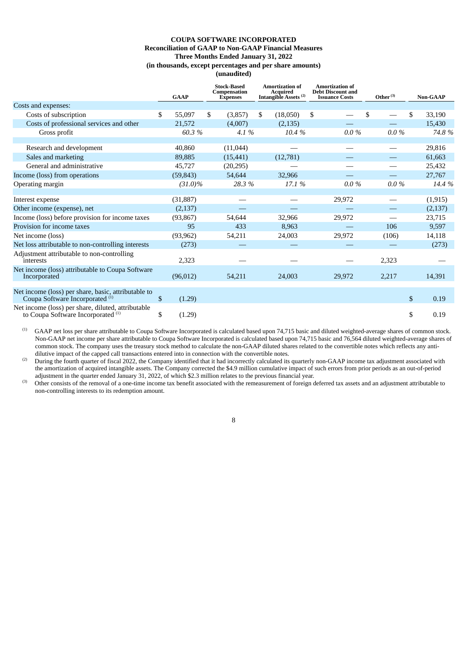#### **COUPA SOFTWARE INCORPORATED Reconciliation of GAAP to Non-GAAP Financial Measures Three Months Ended January 31, 2022 (in thousands, except percentages and per share amounts) (unaudited)**

|                                                                                                     | <b>GAAP</b>  | <b>Stock-Based</b><br>Compensation<br><b>Expenses</b> |    | <b>Amortization of</b><br><b>Acquired</b><br>Intangible Assets <sup>(2)</sup> |    | <b>Amortization of</b><br><b>Debt Discount and</b><br><b>Issuance Costs</b> |     | Other $^{(3)}$ |    | <b>Non-GAAP</b> |  |
|-----------------------------------------------------------------------------------------------------|--------------|-------------------------------------------------------|----|-------------------------------------------------------------------------------|----|-----------------------------------------------------------------------------|-----|----------------|----|-----------------|--|
| Costs and expenses:                                                                                 |              |                                                       |    |                                                                               |    |                                                                             |     |                |    |                 |  |
| Costs of subscription                                                                               | \$<br>55,097 | \$<br>(3,857)                                         | \$ | (18,050)                                                                      | \$ |                                                                             | \$. |                | S  | 33,190          |  |
| Costs of professional services and other                                                            | 21,572       | (4,007)                                               |    | (2, 135)                                                                      |    |                                                                             |     |                |    | 15,430          |  |
| Gross profit                                                                                        | 60.3%        | 4.1 %                                                 |    | 10.4 %                                                                        |    | $0.0\%$                                                                     |     | $0.0 \%$       |    | 74.8%           |  |
| Research and development                                                                            | 40,860       | (11, 044)                                             |    |                                                                               |    |                                                                             |     |                |    | 29,816          |  |
| Sales and marketing                                                                                 | 89,885       | (15, 441)                                             |    | (12,781)                                                                      |    |                                                                             |     |                |    | 61,663          |  |
| General and administrative                                                                          | 45,727       | (20, 295)                                             |    |                                                                               |    |                                                                             |     |                |    | 25,432          |  |
| Income (loss) from operations                                                                       | (59, 843)    | 54,644                                                |    | 32,966                                                                        |    |                                                                             |     |                |    | 27,767          |  |
| Operating margin                                                                                    | $(31.0)\%$   | 28.3%                                                 |    | 17.1 %                                                                        |    | $0.0\%$                                                                     |     | 0.0%           |    | 14.4 %          |  |
|                                                                                                     |              |                                                       |    |                                                                               |    |                                                                             |     |                |    |                 |  |
| Interest expense                                                                                    | (31, 887)    |                                                       |    |                                                                               |    | 29,972                                                                      |     |                |    | (1, 915)        |  |
| Other income (expense), net                                                                         | (2,137)      |                                                       |    |                                                                               |    |                                                                             |     |                |    | (2,137)         |  |
| Income (loss) before provision for income taxes                                                     | (93, 867)    | 54,644                                                |    | 32,966                                                                        |    | 29,972                                                                      |     |                |    | 23,715          |  |
| Provision for income taxes                                                                          | 95           | 433                                                   |    | 8,963                                                                         |    |                                                                             |     | 106            |    | 9,597           |  |
| Net income (loss)                                                                                   | (93, 962)    | 54,211                                                |    | 24,003                                                                        |    | 29,972                                                                      |     | (106)          |    | 14,118          |  |
| Net loss attributable to non-controlling interests                                                  | (273)        |                                                       |    |                                                                               |    |                                                                             |     |                |    | (273)           |  |
| Adjustment attributable to non-controlling<br>interests                                             | 2,323        |                                                       |    |                                                                               |    |                                                                             |     | 2,323          |    |                 |  |
| Net income (loss) attributable to Coupa Software<br>Incorporated                                    | (96, 012)    | 54,211                                                |    | 24,003                                                                        |    | 29,972                                                                      |     | 2,217          |    | 14,391          |  |
|                                                                                                     |              |                                                       |    |                                                                               |    |                                                                             |     |                |    |                 |  |
| Net income (loss) per share, basic, attributable to<br>Coupa Software Incorporated <sup>(1)</sup>   | \$<br>(1.29) |                                                       |    |                                                                               |    |                                                                             |     |                | \$ | 0.19            |  |
| Net income (loss) per share, diluted, attributable<br>to Coupa Software Incorporated <sup>(1)</sup> | \$<br>(1.29) |                                                       |    |                                                                               |    |                                                                             |     |                | \$ | 0.19            |  |

GAAP net loss per share attributable to Coupa Software Incorporated is calculated based upon 74,715 basic and diluted weighted-average shares of common stock. Non-GAAP net income per share attributable to Coupa Software Incorporated is calculated based upon 74,715 basic and 76,564 diluted weighted-average shares of common stock. The company uses the treasury stock method to calculate the non-GAAP diluted shares related to the convertible notes which reflects any antidilutive impact of the capped call transactions entered into in connection with the convertible notes. (1)

During the fourth quarter of fiscal 2022, the Company identified that it had incorrectly calculated its quarterly non-GAAP income tax adjustment associated with the amortization of acquired intangible assets. The Company corrected the \$4.9 million cumulative impact of such errors from prior periods as an out-of-period adjustment in the quarter ended January 31, 2022, of which \$2.3 million relates to the previous financial year. (2)

Other consists of the removal of a one-time income tax benefit associated with the remeasurement of foreign deferred tax assets and an adjustment attributable to non-controlling interests to its redemption amount. (3)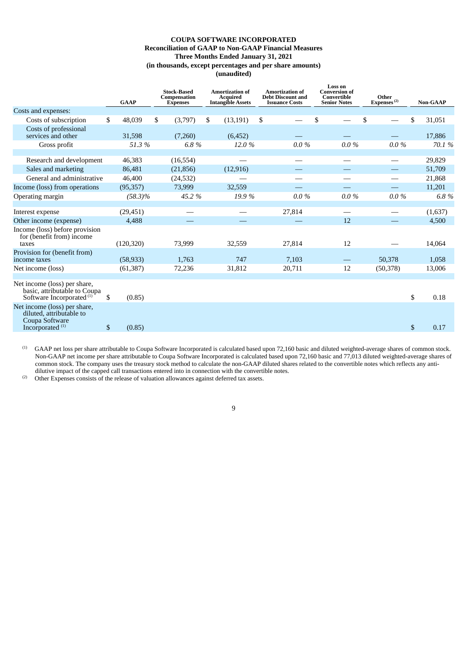#### **COUPA SOFTWARE INCORPORATED Reconciliation of GAAP to Non-GAAP Financial Measures Three Months Ended January 31, 2021 (in thousands, except percentages and per share amounts) (unaudited)**

|                                                                                                      | <b>GAAP</b>  | <b>Stock-Based</b><br>Compensation<br><b>Expenses</b> | <b>Amortization of</b><br><b>Acquired</b><br><b>Intangible Assets</b> |    | <b>Amortization of</b><br><b>Debt Discount and</b><br><b>Issuance Costs</b> |    | Loss on<br><b>Conversion of</b><br>Convertible<br><b>Senior Notes</b> | Other<br>Expenses <sup>(2)</sup> |              | <b>Non-GAAP</b> |
|------------------------------------------------------------------------------------------------------|--------------|-------------------------------------------------------|-----------------------------------------------------------------------|----|-----------------------------------------------------------------------------|----|-----------------------------------------------------------------------|----------------------------------|--------------|-----------------|
| Costs and expenses:                                                                                  |              |                                                       |                                                                       |    |                                                                             |    |                                                                       |                                  |              |                 |
| Costs of subscription                                                                                | \$<br>48,039 | \$<br>(3,797)                                         | \$<br>(13, 191)                                                       | \$ |                                                                             | \$ |                                                                       | \$                               | \$           | 31,051          |
| Costs of professional<br>services and other                                                          | 31,598       | (7,260)                                               | (6, 452)                                                              |    |                                                                             |    |                                                                       |                                  |              | 17,886          |
| Gross profit                                                                                         | 51.3%        | 6.8%                                                  | 12.0 %                                                                |    | $0.0\%$                                                                     |    | $0.0 \%$                                                              | 0.0%                             |              | 70.1 %          |
|                                                                                                      |              |                                                       |                                                                       |    |                                                                             |    |                                                                       |                                  |              |                 |
| Research and development                                                                             | 46,383       | (16, 554)                                             |                                                                       |    |                                                                             |    |                                                                       |                                  |              | 29,829          |
| Sales and marketing                                                                                  | 86,481       | (21, 856)                                             | (12, 916)                                                             |    |                                                                             |    |                                                                       |                                  |              | 51,709          |
| General and administrative                                                                           | 46,400       | (24, 532)                                             |                                                                       |    |                                                                             |    |                                                                       |                                  |              | 21,868          |
| Income (loss) from operations                                                                        | (95, 357)    | 73,999                                                | 32,559                                                                |    |                                                                             |    |                                                                       |                                  |              | 11,201          |
| Operating margin                                                                                     | $(58.3)\%$   | 45.2%                                                 | 19.9%                                                                 |    | $0.0\%$                                                                     |    | $0.0 \%$                                                              | 0.0%                             |              | 6.8%            |
|                                                                                                      |              |                                                       |                                                                       |    |                                                                             |    |                                                                       |                                  |              |                 |
| Interest expense                                                                                     | (29, 451)    |                                                       |                                                                       |    | 27,814                                                                      |    |                                                                       |                                  |              | (1,637)         |
| Other income (expense)                                                                               | 4,488        |                                                       |                                                                       |    |                                                                             |    | 12                                                                    |                                  |              | 4,500           |
| Income (loss) before provision<br>for (benefit from) income<br>taxes                                 | (120, 320)   | 73,999                                                | 32,559                                                                |    | 27,814                                                                      |    | 12                                                                    |                                  |              | 14,064          |
| Provision for (benefit from)<br>income taxes                                                         | (58, 933)    | 1,763                                                 | 747                                                                   |    | 7,103                                                                       |    |                                                                       | 50,378                           |              | 1,058           |
| Net income (loss)                                                                                    | (61, 387)    | 72,236                                                | 31,812                                                                |    | 20,711                                                                      |    | 12                                                                    | (50, 378)                        |              | 13,006          |
|                                                                                                      |              |                                                       |                                                                       |    |                                                                             |    |                                                                       |                                  |              |                 |
| Net income (loss) per share,<br>basic, attributable to Coupa<br>Software Incorporated <sup>(1)</sup> | \$<br>(0.85) |                                                       |                                                                       |    |                                                                             |    |                                                                       |                                  | \$           | 0.18            |
| Net income (loss) per share,<br>diluted, attributable to<br>Coupa Software                           |              |                                                       |                                                                       |    |                                                                             |    |                                                                       |                                  |              |                 |
| Incorporated $(1)$                                                                                   | \$<br>(0.85) |                                                       |                                                                       |    |                                                                             |    |                                                                       |                                  | $\mathbb{S}$ | 0.17            |

GAAP net loss per share attributable to Coupa Software Incorporated is calculated based upon 72,160 basic and diluted weighted-average shares of common stock. Non-GAAP net income per share attributable to Coupa Software Incorporated is calculated based upon 72,160 basic and 77,013 diluted weighted-average shares of common stock. The company uses the treasury stock method to calculate the non-GAAP diluted shares related to the convertible notes which reflects any antidilutive impact of the capped call transactions entered into in connection with the convertible notes. (1)

Other Expenses consists of the release of valuation allowances against deferred tax assets. (2)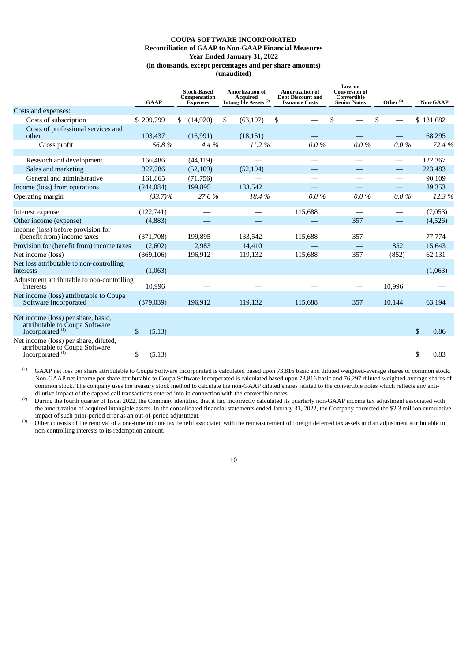#### **COUPA SOFTWARE INCORPORATED Reconciliation of GAAP to Non-GAAP Financial Measures Year Ended January 31, 2022 (in thousands, except percentages and per share amounts)**

**(unaudited)**

|                                                                                                        | <b>GAAP</b>  |    | <b>Stock-Based</b><br>Compensation<br><b>Expenses</b> | <b>Amortization of</b><br><b>Acquired</b><br>Intangible Assets <sup>(2)</sup> | <b>Amortization of</b><br><b>Debt Discount and</b><br><b>Issuance Costs</b> |     | Loss on<br><b>Conversion of</b><br>Convertible<br><b>Senior Notes</b> | Other $^{(3)}$                            | <b>Non-GAAP</b> |
|--------------------------------------------------------------------------------------------------------|--------------|----|-------------------------------------------------------|-------------------------------------------------------------------------------|-----------------------------------------------------------------------------|-----|-----------------------------------------------------------------------|-------------------------------------------|-----------------|
| Costs and expenses:                                                                                    |              |    |                                                       |                                                                               |                                                                             |     |                                                                       |                                           |                 |
| Costs of subscription                                                                                  | \$209,799    | S. | (14,920)                                              | \$<br>(63, 197)                                                               | \$                                                                          | \$. |                                                                       | \$                                        | \$131,682       |
| Costs of professional services and<br>other                                                            | 103,437      |    | (16,991)                                              | (18, 151)                                                                     |                                                                             |     |                                                                       |                                           | 68,295          |
| Gross profit                                                                                           | 56.8%        |    | 4.4 %                                                 | 11.2 %                                                                        | $0.0 \%$                                                                    |     | $0.0 \%$                                                              | $0.0 \%$                                  | 72.4 %          |
|                                                                                                        |              |    |                                                       |                                                                               |                                                                             |     |                                                                       |                                           |                 |
| Research and development                                                                               | 166,486      |    | (44, 119)                                             |                                                                               |                                                                             |     |                                                                       |                                           | 122,367         |
| Sales and marketing                                                                                    | 327,786      |    | (52, 109)                                             | (52, 194)                                                                     |                                                                             |     |                                                                       | $\qquad \qquad \overline{\qquad \qquad }$ | 223,483         |
| General and administrative                                                                             | 161,865      |    | (71, 756)                                             |                                                                               |                                                                             |     |                                                                       |                                           | 90,109          |
| Income (loss) from operations                                                                          | (244, 084)   |    | 199,895                                               | 133,542                                                                       |                                                                             |     |                                                                       | $\overline{\phantom{0}}$                  | 89,353          |
| Operating margin                                                                                       | $(33.7)\%$   |    | 27.6 %                                                | 18.4%                                                                         | $0.0 \%$                                                                    |     | $0.0 \%$                                                              | $0.0 \%$                                  | 12.3%           |
|                                                                                                        |              |    |                                                       |                                                                               |                                                                             |     |                                                                       |                                           |                 |
| Interest expense                                                                                       | (122, 741)   |    |                                                       |                                                                               | 115,688                                                                     |     |                                                                       | $\overbrace{\phantom{13333}}$             | (7,053)         |
| Other income (expense)                                                                                 | (4,883)      |    |                                                       |                                                                               |                                                                             |     | 357                                                                   |                                           | (4,526)         |
| Income (loss) before provision for<br>(benefit from) income taxes                                      | (371,708)    |    | 199,895                                               | 133,542                                                                       | 115,688                                                                     |     | 357                                                                   |                                           | 77,774          |
| Provision for (benefit from) income taxes                                                              | (2,602)      |    | 2,983                                                 | 14,410                                                                        |                                                                             |     |                                                                       | 852                                       | 15,643          |
| Net income (loss)                                                                                      | (369, 106)   |    | 196,912                                               | 119,132                                                                       | 115,688                                                                     |     | 357                                                                   | (852)                                     | 62,131          |
| Net loss attributable to non-controlling<br>interests                                                  | (1,063)      |    |                                                       |                                                                               |                                                                             |     |                                                                       |                                           | (1,063)         |
| Adjustment attributable to non-controlling<br>interests                                                | 10,996       |    |                                                       |                                                                               |                                                                             |     |                                                                       | 10,996                                    |                 |
| Net income (loss) attributable to Coupa<br>Software Incorporated                                       | (379,039)    |    | 196,912                                               | 119,132                                                                       | 115,688                                                                     |     | 357                                                                   | 10,144                                    | 63,194          |
| Net income (loss) per share, basic,<br>attributable to Coupa Software<br>Incorporated $(1)$            | (5.13)<br>\$ |    |                                                       |                                                                               |                                                                             |     |                                                                       |                                           | \$<br>0.86      |
| Net income (loss) per share, diluted,<br>attributable to Coupa Software<br>Incorporated <sup>(1)</sup> | \$<br>(5.13) |    |                                                       |                                                                               |                                                                             |     |                                                                       |                                           | \$<br>0.83      |

GAAP net loss per share attributable to Coupa Software Incorporated is calculated based upon 73,816 basic and diluted weighted-average shares of common stock. Non-GAAP net income per share attributable to Coupa Software Incorporated is calculated based upon 73,816 basic and 76,297 diluted weighted-average shares of common stock. The company uses the treasury stock method to calculate the non-GAAP diluted shares related to the convertible notes which reflects any antidilutive impact of the capped call transactions entered into in connection with the convertible notes. (1)

During the fourth quarter of fiscal 2022, the Company identified that it had incorrectly calculated its quarterly non-GAAP income tax adjustment associated with the amortization of acquired intangible assets. In the consolidated financial statements ended January 31, 2022, the Company corrected the \$2.3 million cumulative impact of such prior-period error as an out-of-period adjustment. (2)

Other consists of the removal of a one-time income tax benefit associated with the remeasurement of foreign deferred tax assets and an adjustment attributable to non-controlling interests to its redemption amount. (3)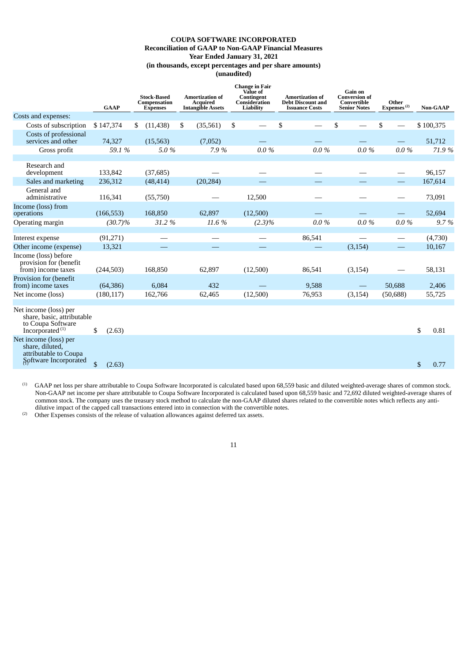#### **COUPA SOFTWARE INCORPORATED Reconciliation of GAAP to Non-GAAP Financial Measures Year Ended January 31, 2021 (in thousands, except percentages and per share amounts)**

**(unaudited)**

|                                                                                                | <b>GAAP</b>  | <b>Stock-Based</b><br>Compensation<br><b>Expenses</b> | <b>Amortization of</b><br>Acquired<br><b>Intangible Assets</b> | <b>Change in Fair</b><br>Value of<br>Contingent<br>Consideration<br>Liability | <b>Amortization of</b><br><b>Debt Discount and</b><br><b>Issuance Costs</b> | Gain on<br><b>Conversion of</b><br>Convertible<br><b>Senior Notes</b> | Other<br>Expenses <sup>(2)</sup> | Non-GAAP   |
|------------------------------------------------------------------------------------------------|--------------|-------------------------------------------------------|----------------------------------------------------------------|-------------------------------------------------------------------------------|-----------------------------------------------------------------------------|-----------------------------------------------------------------------|----------------------------------|------------|
| Costs and expenses:                                                                            |              |                                                       |                                                                |                                                                               |                                                                             |                                                                       |                                  |            |
| Costs of subscription                                                                          | \$147,374    | (11, 438)<br>\$                                       | \$<br>(35, 561)                                                | \$                                                                            | \$                                                                          | \$                                                                    | \$                               | \$100,375  |
| Costs of professional<br>services and other                                                    | 74,327       | (15, 563)                                             | (7,052)                                                        |                                                                               |                                                                             |                                                                       |                                  | 51,712     |
| Gross profit                                                                                   | 59.1 %       | 5.0%                                                  | 7.9%                                                           | $0.0 \%$                                                                      | 0.0%                                                                        | $0.0 \%$                                                              | 0.0%                             | 71.9%      |
|                                                                                                |              |                                                       |                                                                |                                                                               |                                                                             |                                                                       |                                  |            |
| Research and<br>development                                                                    | 133,842      | (37,685)                                              |                                                                |                                                                               |                                                                             |                                                                       |                                  | 96,157     |
| Sales and marketing                                                                            | 236,312      | (48, 414)                                             | (20, 284)                                                      |                                                                               |                                                                             |                                                                       |                                  | 167,614    |
| General and<br>administrative                                                                  | 116,341      | (55,750)                                              |                                                                | 12,500                                                                        |                                                                             |                                                                       |                                  | 73,091     |
| Income (loss) from<br>operations                                                               | (166, 553)   | 168,850                                               | 62,897                                                         | (12,500)                                                                      |                                                                             |                                                                       |                                  | 52,694     |
| Operating margin                                                                               | $(30.7)\%$   | 31.2%                                                 | 11.6 %                                                         | $(2.3)\%$                                                                     | $0.0 \%$                                                                    | 0.0%                                                                  | 0.0%                             | 9.7%       |
| Interest expense                                                                               | (91, 271)    |                                                       |                                                                |                                                                               | 86,541                                                                      |                                                                       |                                  | (4,730)    |
| Other income (expense)                                                                         | 13,321       |                                                       |                                                                |                                                                               |                                                                             | (3, 154)                                                              |                                  | 10,167     |
| Income (loss) before<br>provision for (benefit<br>from) income taxes                           | (244, 503)   | 168,850                                               | 62,897                                                         | (12,500)                                                                      | 86,541                                                                      | (3, 154)                                                              |                                  | 58,131     |
| Provision for (benefit<br>from) income taxes                                                   | (64, 386)    | 6,084                                                 | 432                                                            |                                                                               | 9,588                                                                       |                                                                       | 50,688                           | 2,406      |
| Net income (loss)                                                                              | (180, 117)   | 162,766                                               | 62,465                                                         | (12,500)                                                                      | 76,953                                                                      | (3, 154)                                                              | (50, 688)                        | 55,725     |
| Net income (loss) per<br>share, basic, attributable<br>to Coupa Software<br>Incorporated $(1)$ | \$<br>(2.63) |                                                       |                                                                |                                                                               |                                                                             |                                                                       |                                  | \$<br>0.81 |
| Net income (loss) per<br>share, diluted.<br>attributable to Coupa<br>Spftware Incorporated     |              |                                                       |                                                                |                                                                               |                                                                             |                                                                       |                                  |            |
|                                                                                                | \$<br>(2.63) |                                                       |                                                                |                                                                               |                                                                             |                                                                       |                                  | \$<br>0.77 |

GAAP net loss per share attributable to Coupa Software Incorporated is calculated based upon 68,559 basic and diluted weighted-average shares of common stock. Non-GAAP net income per share attributable to Coupa Software Incorporated is calculated based upon 68,559 basic and 72,692 diluted weighted-average shares of common stock. The company uses the treasury stock method to calculate the non-GAAP diluted shares related to the convertible notes which reflects any antidilutive impact of the capped call transactions entered into in connection with the convertible notes. (1)

Other Expenses consists of the release of valuation allowances against deferred tax assets. (2)